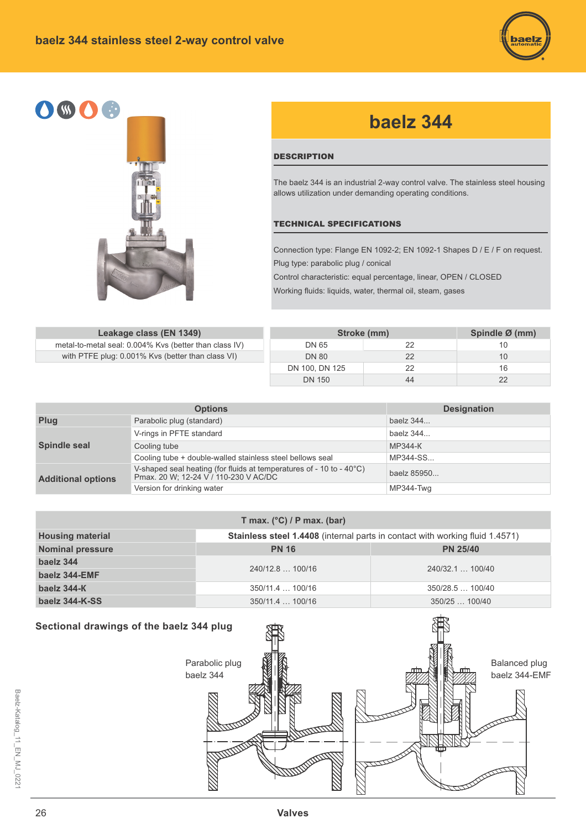



# **baelz 344**

## **DESCRIPTION**

The baelz 344 is an industrial 2-way control valve. The stainless steel housing allows utilization under demanding operating conditions.

#### TECHNICAL SPECIFICATIONS

Connection type: Flange EN 1092-2; EN 1092-1 Shapes D / E / F on request. Plug type: parabolic plug / conical

Control characteristic: equal percentage, linear, OPEN / CLOSED

Working fluids: liquids, water, thermal oil, steam, gases

**Leakage class (EN 1349)** metal-to-metal seal: 0.004% Kvs (better than class IV) with PTFE plug: 0.001% Kvs (better than class VI)

| Stroke (mm)    | Spindle Ø (mm) |    |
|----------------|----------------|----|
| DN 65          | 22             | 10 |
| <b>DN 80</b>   | 22             | 10 |
| DN 100, DN 125 | 22             | 16 |
| <b>DN 150</b>  | 44             | 22 |

|                           | <b>Options</b>                                                                                                | <b>Designation</b> |  |  |  |  |
|---------------------------|---------------------------------------------------------------------------------------------------------------|--------------------|--|--|--|--|
| Plug                      | Parabolic plug (standard)                                                                                     | baelz 344          |  |  |  |  |
|                           | V-rings in PFTE standard                                                                                      | baelz 344          |  |  |  |  |
| Spindle seal              | Cooling tube                                                                                                  | MP344-K            |  |  |  |  |
|                           | Cooling tube + double-walled stainless steel bellows seal                                                     | MP344-SS           |  |  |  |  |
| <b>Additional options</b> | V-shaped seal heating (for fluids at temperatures of - 10 to - 40°C)<br>Pmax. 20 W; 12-24 V / 110-230 V AC/DC | baelz 85950        |  |  |  |  |
|                           | Version for drinking water                                                                                    | MP344-Twg          |  |  |  |  |

| T max. $(^{\circ}C)$ / P max. (bar) |                                                                                     |                  |  |  |  |  |  |  |  |  |  |  |
|-------------------------------------|-------------------------------------------------------------------------------------|------------------|--|--|--|--|--|--|--|--|--|--|
| <b>Housing material</b>             | <b>Stainless steel 1.4408</b> (internal parts in contact with working fluid 1.4571) |                  |  |  |  |  |  |  |  |  |  |  |
| <b>Nominal pressure</b>             | <b>PN 16</b>                                                                        | <b>PN 25/40</b>  |  |  |  |  |  |  |  |  |  |  |
| baelz 344                           | 240/12.8  100/16                                                                    | 240/32.1  100/40 |  |  |  |  |  |  |  |  |  |  |
| baelz 344-EMF                       |                                                                                     |                  |  |  |  |  |  |  |  |  |  |  |
| baelz 344-K                         | 350/11.4  100/16                                                                    | 350/28.5100/40   |  |  |  |  |  |  |  |  |  |  |
| baelz 344-K-SS                      | $350/11.4$ 100/16                                                                   | 350/25  100/40   |  |  |  |  |  |  |  |  |  |  |

# **Sectional drawings of the baelz 344 plug**

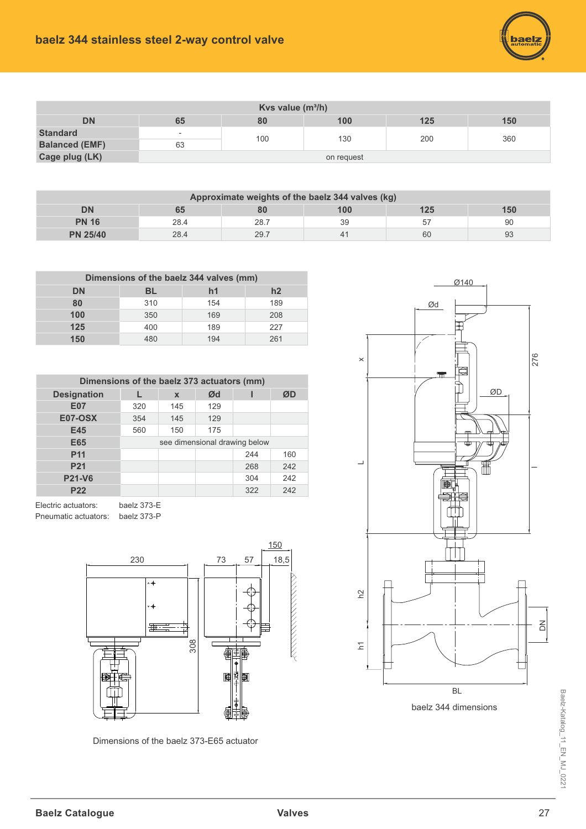

| Kvs value $(m^3/h)$   |                          |     |     |     |     |  |  |  |  |  |  |  |
|-----------------------|--------------------------|-----|-----|-----|-----|--|--|--|--|--|--|--|
| <b>DN</b>             | 65                       | 80  | 100 | 125 | 150 |  |  |  |  |  |  |  |
| <b>Standard</b>       | $\overline{\phantom{0}}$ | 100 | 130 | 200 | 360 |  |  |  |  |  |  |  |
| <b>Balanced (EMF)</b> | 63                       |     |     |     |     |  |  |  |  |  |  |  |
| Cage plug (LK)        | on request               |     |     |     |     |  |  |  |  |  |  |  |

| Approximate weights of the baelz 344 valves (kg) |                               |      |              |    |    |  |  |  |  |  |  |  |  |
|--------------------------------------------------|-------------------------------|------|--------------|----|----|--|--|--|--|--|--|--|--|
| DN                                               | 100<br>125<br>150<br>80<br>65 |      |              |    |    |  |  |  |  |  |  |  |  |
| <b>PN 16</b>                                     | 28.4                          | 28.7 | 39           | 57 | 90 |  |  |  |  |  |  |  |  |
| <b>PN 25/40</b>                                  | 28.4                          | 29.7 | $\mathbf{4}$ | 60 | 93 |  |  |  |  |  |  |  |  |

| Dimensions of the baelz 344 valves (mm) |     |                |     |  |  |  |  |  |  |  |  |  |
|-----------------------------------------|-----|----------------|-----|--|--|--|--|--|--|--|--|--|
| DN                                      | BL  | h <sub>1</sub> | h2  |  |  |  |  |  |  |  |  |  |
| 80                                      | 310 | 154            | 189 |  |  |  |  |  |  |  |  |  |
| 100                                     | 350 | 169            | 208 |  |  |  |  |  |  |  |  |  |
| 125                                     | 400 | 189            | 227 |  |  |  |  |  |  |  |  |  |
| 150                                     | 180 | 194            | 261 |  |  |  |  |  |  |  |  |  |

| Dimensions of the baelz 373 actuators (mm) |     |             |                               |     |     |  |  |  |  |  |  |  |  |
|--------------------------------------------|-----|-------------|-------------------------------|-----|-----|--|--|--|--|--|--|--|--|
| <b>Designation</b>                         |     | $\mathbf x$ | Ød                            |     | ØD  |  |  |  |  |  |  |  |  |
| <b>E07</b>                                 | 320 | 145         | 129                           |     |     |  |  |  |  |  |  |  |  |
| <b>E07-OSX</b>                             | 354 | 145         | 129                           |     |     |  |  |  |  |  |  |  |  |
| E45                                        | 560 | 150         | 175                           |     |     |  |  |  |  |  |  |  |  |
| E65                                        |     |             | see dimensional drawing below |     |     |  |  |  |  |  |  |  |  |
| <b>P11</b>                                 |     |             |                               | 244 | 160 |  |  |  |  |  |  |  |  |
| <b>P21</b>                                 |     |             |                               | 268 | 242 |  |  |  |  |  |  |  |  |
| <b>P21-V6</b>                              |     |             |                               | 304 | 242 |  |  |  |  |  |  |  |  |
| <b>P22</b>                                 |     |             |                               | 322 | 242 |  |  |  |  |  |  |  |  |

Electric actuators: baelz 373-E Pneumatic actuators: baelz 373-P



Dimensions of the baelz 373-E65 actuator



baelz 344 dimensions